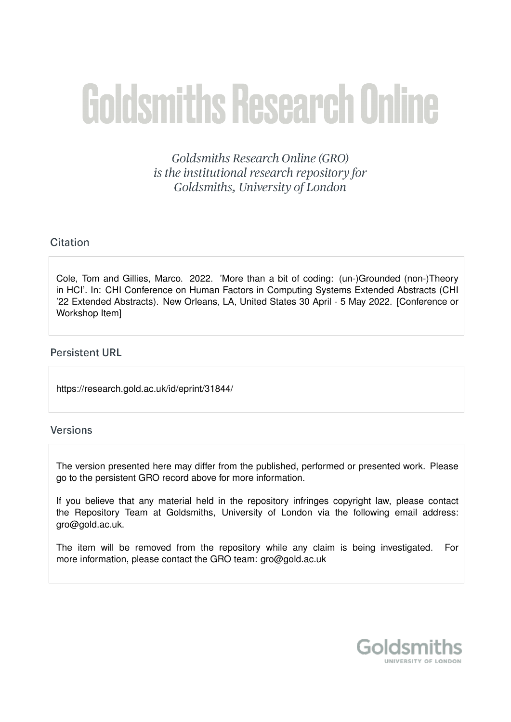# **Goldsmiths Research Online**

Goldsmiths Research Online (GRO) is the institutional research repository for Goldsmiths, University of London

# Citation

Cole, Tom and Gillies, Marco. 2022. 'More than a bit of coding: (un-)Grounded (non-)Theory in HCI'. In: CHI Conference on Human Factors in Computing Systems Extended Abstracts (CHI '22 Extended Abstracts). New Orleans, LA, United States 30 April - 5 May 2022. [Conference or Workshop Item]

# **Persistent URL**

https://research.gold.ac.uk/id/eprint/31844/

# Versions

The version presented here may differ from the published, performed or presented work. Please go to the persistent GRO record above for more information.

If you believe that any material held in the repository infringes copyright law, please contact the Repository Team at Goldsmiths, University of London via the following email address: gro@gold.ac.uk.

The item will be removed from the repository while any claim is being investigated. For more information, please contact the GRO team: gro@gold.ac.uk

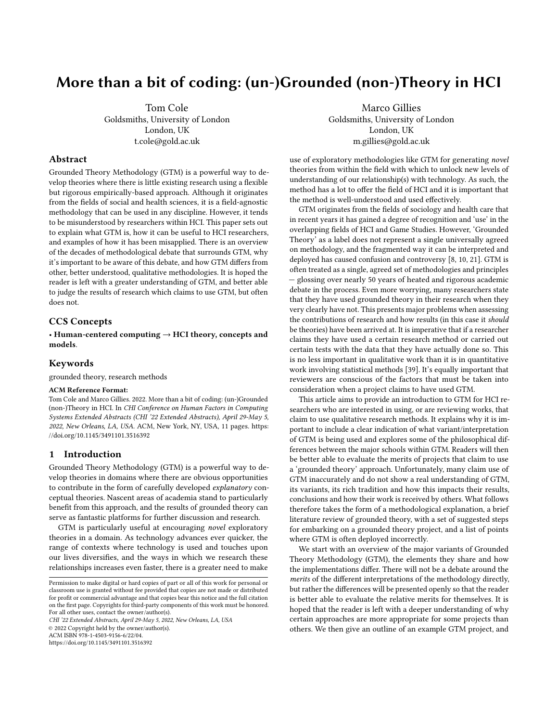# More than a bit of coding: (un-)Grounded (non-)Theory in HCI

Tom Cole Goldsmiths, University of London London, UK t.cole@gold.ac.uk

### Abstract

Grounded Theory Methodology (GTM) is a powerful way to develop theories where there is little existing research using a flexible but rigorous empirically-based approach. Although it originates from the fields of social and health sciences, it is a field-agnostic methodology that can be used in any discipline. However, it tends to be misunderstood by researchers within HCI. This paper sets out to explain what GTM is, how it can be useful to HCI researchers, and examples of how it has been misapplied. There is an overview of the decades of methodological debate that surrounds GTM, why it's important to be aware of this debate, and how GTM differs from other, better understood, qualitative methodologies. It is hoped the reader is left with a greater understanding of GTM, and better able to judge the results of research which claims to use GTM, but often does not.

### CCS Concepts

• Human-centered computing  $\rightarrow$  HCI theory, concepts and models.

### Keywords

grounded theory, research methods

### ACM Reference Format:

Tom Cole and Marco Gillies. 2022. More than a bit of coding: (un-)Grounded (non-)Theory in HCI. In CHI Conference on Human Factors in Computing Systems Extended Abstracts (CHI '22 Extended Abstracts), April 29-May 5, 2022, New Orleans, LA, USA. ACM, New York, NY, USA, [11](#page-11-0) pages. [https:](https://doi.org/10.1145/3491101.3516392) [//doi.org/10.1145/3491101.3516392](https://doi.org/10.1145/3491101.3516392)

### 1 Introduction

Grounded Theory Methodology (GTM) is a powerful way to develop theories in domains where there are obvious opportunities to contribute in the form of carefully developed explanatory conceptual theories. Nascent areas of academia stand to particularly benefit from this approach, and the results of grounded theory can serve as fantastic platforms for further discussion and research.

GTM is particularly useful at encouraging novel exploratory theories in a domain. As technology advances ever quicker, the range of contexts where technology is used and touches upon our lives diversifies, and the ways in which we research these relationships increases even faster, there is a greater need to make

CHI '22 Extended Abstracts, April 29-May 5, 2022, New Orleans, LA, USA

© 2022 Copyright held by the owner/author(s).

ACM ISBN 978-1-4503-9156-6/22/04.

<https://doi.org/10.1145/3491101.3516392>

Marco Gillies Goldsmiths, University of London

> London, UK m.gillies@gold.ac.uk

use of exploratory methodologies like GTM for generating novel theories from within the field with which to unlock new levels of understanding of our relationship(s) with technology. As such, the method has a lot to offer the field of HCI and it is important that the method is well-understood and used effectively.

GTM originates from the fields of sociology and health care that in recent years it has gained a degree of recognition and 'use' in the overlapping fields of HCI and Game Studies. However, 'Grounded Theory' as a label does not represent a single universally agreed on methodology, and the fragmented way it can be interpreted and deployed has caused confusion and controversy [\[8,](#page-10-0) [10,](#page-10-1) [21\]](#page-11-1). GTM is often treated as a single, agreed set of methodologies and principles — glossing over nearly 50 years of heated and rigorous academic debate in the process. Even more worrying, many researchers state that they have used grounded theory in their research when they very clearly have not. This presents major problems when assessing the contributions of research and how results (in this case it should be theories) have been arrived at. It is imperative that if a researcher claims they have used a certain research method or carried out certain tests with the data that they have actually done so. This is no less important in qualitative work than it is in quantitative work involving statistical methods [\[39\]](#page-11-2). It's equally important that reviewers are conscious of the factors that must be taken into consideration when a project claims to have used GTM.

This article aims to provide an introduction to GTM for HCI researchers who are interested in using, or are reviewing works, that claim to use qualitative research methods. It explains why it is important to include a clear indication of what variant/interpretation of GTM is being used and explores some of the philosophical differences between the major schools within GTM. Readers will then be better able to evaluate the merits of projects that claim to use a 'grounded theory' approach. Unfortunately, many claim use of GTM inaccurately and do not show a real understanding of GTM, its variants, its rich tradition and how this impacts their results, conclusions and how their work is received by others. What follows therefore takes the form of a methodological explanation, a brief literature review of grounded theory, with a set of suggested steps for embarking on a grounded theory project, and a list of points where GTM is often deployed incorrectly.

We start with an overview of the major variants of Grounded Theory Methodology (GTM), the elements they share and how the implementations differ. There will not be a debate around the merits of the different interpretations of the methodology directly, but rather the differences will be presented openly so that the reader is better able to evaluate the relative merits for themselves. It is hoped that the reader is left with a deeper understanding of why certain approaches are more appropriate for some projects than others. We then give an outline of an example GTM project, and

Permission to make digital or hard copies of part or all of this work for personal or classroom use is granted without fee provided that copies are not made or distributed for profit or commercial advantage and that copies bear this notice and the full citation on the first page. Copyrights for third-party components of this work must be honored. For all other uses, contact the owner/author(s).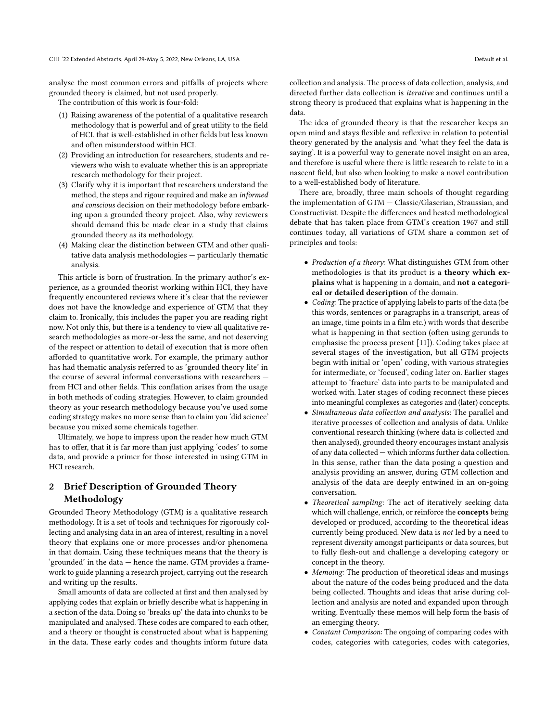analyse the most common errors and pitfalls of projects where grounded theory is claimed, but not used properly.

The contribution of this work is four-fold:

- (1) Raising awareness of the potential of a qualitative research methodology that is powerful and of great utility to the field of HCI, that is well-established in other fields but less known and often misunderstood within HCI.
- (2) Providing an introduction for researchers, students and reviewers who wish to evaluate whether this is an appropriate research methodology for their project.
- (3) Clarify why it is important that researchers understand the method, the steps and rigour required and make an informed and conscious decision on their methodology before embarking upon a grounded theory project. Also, why reviewers should demand this be made clear in a study that claims grounded theory as its methodology.
- (4) Making clear the distinction between GTM and other qualitative data analysis methodologies — particularly thematic analysis.

This article is born of frustration. In the primary author's experience, as a grounded theorist working within HCI, they have frequently encountered reviews where it's clear that the reviewer does not have the knowledge and experience of GTM that they claim to. Ironically, this includes the paper you are reading right now. Not only this, but there is a tendency to view all qualitative research methodologies as more-or-less the same, and not deserving of the respect or attention to detail of execution that is more often afforded to quantitative work. For example, the primary author has had thematic analysis referred to as 'grounded theory lite' in the course of several informal conversations with researchers from HCI and other fields. This conflation arises from the usage in both methods of coding strategies. However, to claim grounded theory as your research methodology because you've used some coding strategy makes no more sense than to claim you 'did science' because you mixed some chemicals together.

Ultimately, we hope to impress upon the reader how much GTM has to offer, that it is far more than just applying 'codes' to some data, and provide a primer for those interested in using GTM in HCI research.

## 2 Brief Description of Grounded Theory Methodology

Grounded Theory Methodology (GTM) is a qualitative research methodology. It is a set of tools and techniques for rigorously collecting and analysing data in an area of interest, resulting in a novel theory that explains one or more processes and/or phenomena in that domain. Using these techniques means that the theory is 'grounded' in the data — hence the name. GTM provides a framework to guide planning a research project, carrying out the research and writing up the results.

Small amounts of data are collected at first and then analysed by applying codes that explain or briefly describe what is happening in a section of the data. Doing so 'breaks up' the data into chunks to be manipulated and analysed. These codes are compared to each other, and a theory or thought is constructed about what is happening in the data. These early codes and thoughts inform future data

collection and analysis. The process of data collection, analysis, and directed further data collection is iterative and continues until a strong theory is produced that explains what is happening in the data.

The idea of grounded theory is that the researcher keeps an open mind and stays flexible and reflexive in relation to potential theory generated by the analysis and 'what they feel the data is saying'. It is a powerful way to generate novel insight on an area, and therefore is useful where there is little research to relate to in a nascent field, but also when looking to make a novel contribution to a well-established body of literature.

There are, broadly, three main schools of thought regarding the implementation of GTM — Classic/Glaserian, Straussian, and Constructivist. Despite the differences and heated methodological debate that has taken place from GTM's creation 1967 and still continues today, all variations of GTM share a common set of principles and tools:

- Production of a theory: What distinguishes GTM from other methodologies is that its product is a theory which explains what is happening in a domain, and not a categorical or detailed description of the domain.
- Coding: The practice of applying labels to parts of the data (be this words, sentences or paragraphs in a transcript, areas of an image, time points in a film etc.) with words that describe what is happening in that section (often using gerunds to emphasise the process present [\[11\]](#page-10-2)). Coding takes place at several stages of the investigation, but all GTM projects begin with initial or 'open' coding, with various strategies for intermediate, or 'focused', coding later on. Earlier stages attempt to 'fracture' data into parts to be manipulated and worked with. Later stages of coding reconnect these pieces into meaningful complexes as categories and (later) concepts.
- Simultaneous data collection and analysis: The parallel and iterative processes of collection and analysis of data. Unlike conventional research thinking (where data is collected and then analysed), grounded theory encourages instant analysis of any data collected — which informs further data collection. In this sense, rather than the data posing a question and analysis providing an answer, during GTM collection and analysis of the data are deeply entwined in an on-going conversation.
- Theoretical sampling: The act of iteratively seeking data which will challenge, enrich, or reinforce the **concepts** being developed or produced, according to the theoretical ideas currently being produced. New data is not led by a need to represent diversity amongst participants or data sources, but to fully flesh-out and challenge a developing category or concept in the theory.
- Memoing: The production of theoretical ideas and musings about the nature of the codes being produced and the data being collected. Thoughts and ideas that arise during collection and analysis are noted and expanded upon through writing. Eventually these memos will help form the basis of an emerging theory.
- Constant Comparison: The ongoing of comparing codes with codes, categories with categories, codes with categories,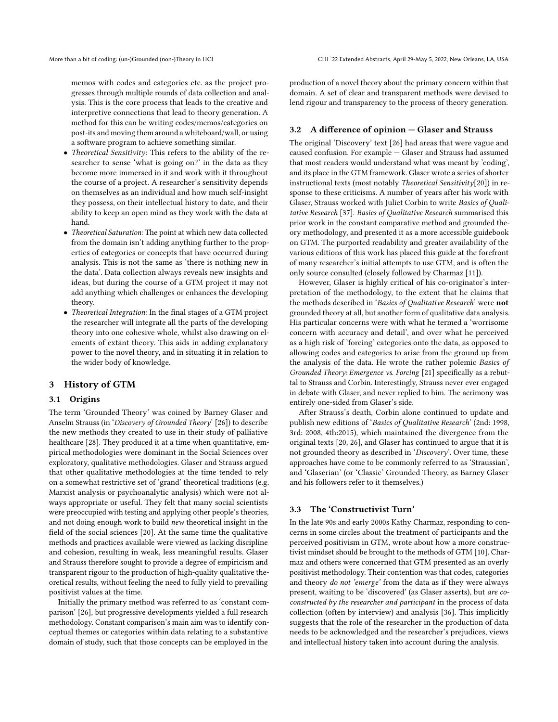memos with codes and categories etc. as the project progresses through multiple rounds of data collection and analysis. This is the core process that leads to the creative and interpretive connections that lead to theory generation. A method for this can be writing codes/memos/categories on post-its and moving them around a whiteboard/wall, or using a software program to achieve something similar.

- Theoretical Sensitivity: This refers to the ability of the researcher to sense 'what is going on?' in the data as they become more immersed in it and work with it throughout the course of a project. A researcher's sensitivity depends on themselves as an individual and how much self-insight they possess, on their intellectual history to date, and their ability to keep an open mind as they work with the data at hand.
- Theoretical Saturation: The point at which new data collected from the domain isn't adding anything further to the properties of categories or concepts that have occurred during analysis. This is not the same as 'there is nothing new in the data'. Data collection always reveals new insights and ideas, but during the course of a GTM project it may not add anything which challenges or enhances the developing theory.
- Theoretical Integration: In the final stages of a GTM project the researcher will integrate all the parts of the developing theory into one cohesive whole, whilst also drawing on elements of extant theory. This aids in adding explanatory power to the novel theory, and in situating it in relation to the wider body of knowledge.

### 3 History of GTM

### 3.1 Origins

The term 'Grounded Theory' was coined by Barney Glaser and Anselm Strauss (in 'Discovery of Grounded Theory' [\[26\]](#page-11-3)) to describe the new methods they created to use in their study of palliative healthcare [\[28\]](#page-11-4). They produced it at a time when quantitative, empirical methodologies were dominant in the Social Sciences over exploratory, qualitative methodologies. Glaser and Strauss argued that other qualitative methodologies at the time tended to rely on a somewhat restrictive set of 'grand' theoretical traditions (e.g. Marxist analysis or psychoanalytic analysis) which were not always appropriate or useful. They felt that many social scientists were preoccupied with testing and applying other people's theories, and not doing enough work to build new theoretical insight in the field of the social sciences [\[20\]](#page-11-5). At the same time the qualitative methods and practices available were viewed as lacking discipline and cohesion, resulting in weak, less meaningful results. Glaser and Strauss therefore sought to provide a degree of empiricism and transparent rigour to the production of high-quality qualitative theoretical results, without feeling the need to fully yield to prevailing positivist values at the time.

Initially the primary method was referred to as 'constant comparison' [\[26\]](#page-11-3), but progressive developments yielded a full research methodology. Constant comparison's main aim was to identify conceptual themes or categories within data relating to a substantive domain of study, such that those concepts can be employed in the

production of a novel theory about the primary concern within that domain. A set of clear and transparent methods were devised to lend rigour and transparency to the process of theory generation.

### 3.2 A difference of opinion — Glaser and Strauss

The original 'Discovery' text [\[26\]](#page-11-3) had areas that were vague and caused confusion. For example — Glaser and Strauss had assumed that most readers would understand what was meant by 'coding', and its place in the GTM framework. Glaser wrote a series of shorter instructional texts (most notably *Theoretical Sensitivity*[\[20\]](#page-11-5)) in response to these criticisms. A number of years after his work with Glaser, Strauss worked with Juliet Corbin to write Basics of Qualitative Research [\[37\]](#page-11-6). Basics of Qualitative Research summarised this prior work in the constant comparative method and grounded theory methodology, and presented it as a more accessible guidebook on GTM. The purported readability and greater availability of the various editions of this work has placed this guide at the forefront of many researcher's initial attempts to use GTM, and is often the only source consulted (closely followed by Charmaz [\[11\]](#page-10-2)).

However, Glaser is highly critical of his co-originator's interpretation of the methodology, to the extent that he claims that the methods described in 'Basics of Qualitative Research' were not grounded theory at all, but another form of qualitative data analysis. His particular concerns were with what he termed a 'worrisome concern with accuracy and detail', and over what he perceived as a high risk of 'forcing' categories onto the data, as opposed to allowing codes and categories to arise from the ground up from the analysis of the data. He wrote the rather polemic Basics of Grounded Theory: Emergence vs. Forcing [\[21\]](#page-11-1) specifically as a rebuttal to Strauss and Corbin. Interestingly, Strauss never ever engaged in debate with Glaser, and never replied to him. The acrimony was entirely one-sided from Glaser's side.

After Strauss's death, Corbin alone continued to update and publish new editions of 'Basics of Qualitative Research' (2nd: 1998, 3rd: 2008, 4th:2015), which maintained the divergence from the original texts [\[20,](#page-11-5) [26\]](#page-11-3), and Glaser has continued to argue that it is not grounded theory as described in 'Discovery'. Over time, these approaches have come to be commonly referred to as 'Straussian', and 'Glaserian' (or 'Classic' Grounded Theory, as Barney Glaser and his followers refer to it themselves.)

### 3.3 The 'Constructivist Turn'

In the late 90s and early 2000s Kathy Charmaz, responding to concerns in some circles about the treatment of participants and the perceived positivism in GTM, wrote about how a more constructivist mindset should be brought to the methods of GTM [\[10\]](#page-10-1). Charmaz and others were concerned that GTM presented as an overly positivist methodology. Their contention was that codes, categories and theory do not 'emerge' from the data as if they were always present, waiting to be 'discovered' (as Glaser asserts), but are coconstructed by the researcher and participant in the process of data collection (often by interview) and analysis [\[36\]](#page-11-7). This implicitly suggests that the role of the researcher in the production of data needs to be acknowledged and the researcher's prejudices, views and intellectual history taken into account during the analysis.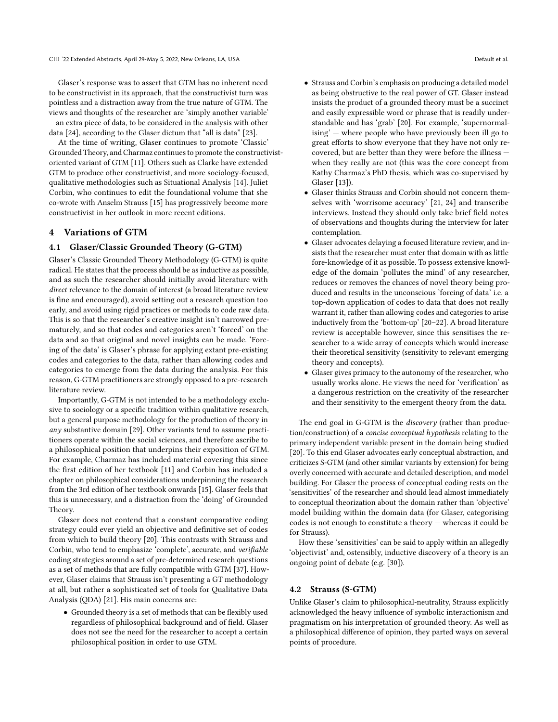Glaser's response was to assert that GTM has no inherent need to be constructivist in its approach, that the constructivist turn was pointless and a distraction away from the true nature of GTM. The views and thoughts of the researcher are 'simply another variable' — an extra piece of data, to be considered in the analysis with other data [\[24\]](#page-11-8), according to the Glaser dictum that "all is data" [\[23\]](#page-11-9).

At the time of writing, Glaser continues to promote 'Classic' Grounded Theory, and Charmaz continues to promote the constructivistoriented variant of GTM [\[11\]](#page-10-2). Others such as Clarke have extended GTM to produce other constructivist, and more sociology-focused, qualitative methodologies such as Situational Analysis [\[14\]](#page-10-3). Juliet Corbin, who continues to edit the foundational volume that she co-wrote with Anselm Strauss [\[15\]](#page-10-4) has progressively become more constructivist in her outlook in more recent editions.

### 4 Variations of GTM

### 4.1 Glaser/Classic Grounded Theory (G-GTM)

Glaser's Classic Grounded Theory Methodology (G-GTM) is quite radical. He states that the process should be as inductive as possible, and as such the researcher should initially avoid literature with direct relevance to the domain of interest (a broad literature review is fine and encouraged), avoid setting out a research question too early, and avoid using rigid practices or methods to code raw data. This is so that the researcher's creative insight isn't narrowed prematurely, and so that codes and categories aren't 'forced' on the data and so that original and novel insights can be made. 'Forcing of the data' is Glaser's phrase for applying extant pre-existing codes and categories to the data, rather than allowing codes and categories to emerge from the data during the analysis. For this reason, G-GTM practitioners are strongly opposed to a pre-research literature review.

Importantly, G-GTM is not intended to be a methodology exclusive to sociology or a specific tradition within qualitative research, but a general purpose methodology for the production of theory in any substantive domain [\[29\]](#page-11-10). Other variants tend to assume practitioners operate within the social sciences, and therefore ascribe to a philosophical position that underpins their exposition of GTM. For example, Charmaz has included material covering this since the first edition of her textbook [\[11\]](#page-10-2) and Corbin has included a chapter on philosophical considerations underpinning the research from the 3rd edition of her textbook onwards [\[15\]](#page-10-4). Glaser feels that this is unnecessary, and a distraction from the 'doing' of Grounded Theory.

Glaser does not contend that a constant comparative coding strategy could ever yield an objective and definitive set of codes from which to build theory [\[20\]](#page-11-5). This contrasts with Strauss and Corbin, who tend to emphasize 'complete', accurate, and verifiable coding strategies around a set of pre-determined research questions as a set of methods that are fully compatible with GTM [\[37\]](#page-11-6). However, Glaser claims that Strauss isn't presenting a GT methodology at all, but rather a sophisticated set of tools for Qualitative Data Analysis (QDA) [\[21\]](#page-11-1). His main concerns are:

• Grounded theory is a set of methods that can be flexibly used regardless of philosophical background and of field. Glaser does not see the need for the researcher to accept a certain philosophical position in order to use GTM.

- Strauss and Corbin's emphasis on producing a detailed model as being obstructive to the real power of GT. Glaser instead insists the product of a grounded theory must be a succinct and easily expressible word or phrase that is readily understandable and has 'grab' [\[20\]](#page-11-5). For example, 'supernormalising' — where people who have previously been ill go to great efforts to show everyone that they have not only recovered, but are better than they were before the illness when they really are not (this was the core concept from Kathy Charmaz's PhD thesis, which was co-supervised by Glaser [\[13\]](#page-10-5)).
- Glaser thinks Strauss and Corbin should not concern themselves with 'worrisome accuracy' [\[21,](#page-11-1) [24\]](#page-11-8) and transcribe interviews. Instead they should only take brief field notes of observations and thoughts during the interview for later contemplation.
- Glaser advocates delaying a focused literature review, and insists that the researcher must enter that domain with as little fore-knowledge of it as possible. To possess extensive knowledge of the domain 'pollutes the mind' of any researcher, reduces or removes the chances of novel theory being produced and results in the unconscious 'forcing of data' i.e. a top-down application of codes to data that does not really warrant it, rather than allowing codes and categories to arise inductively from the 'bottom-up' [\[20–](#page-11-5)[22\]](#page-11-11). A broad literature review is acceptable however, since this sensitises the researcher to a wide array of concepts which would increase their theoretical sensitivity (sensitivity to relevant emerging theory and concepts).
- Glaser gives primacy to the autonomy of the researcher, who usually works alone. He views the need for 'verification' as a dangerous restriction on the creativity of the researcher and their sensitivity to the emergent theory from the data.

The end goal in G-GTM is the *discovery* (rather than production/construction) of a concise conceptual hypothesis relating to the primary independent variable present in the domain being studied [\[20\]](#page-11-5). To this end Glaser advocates early conceptual abstraction, and criticizes S-GTM (and other similar variants by extension) for being overly concerned with accurate and detailed description, and model building. For Glaser the process of conceptual coding rests on the 'sensitivities' of the researcher and should lead almost immediately to conceptual theorization about the domain rather than 'objective' model building within the domain data (for Glaser, categorising codes is not enough to constitute a theory — whereas it could be for Strauss).

How these 'sensitivities' can be said to apply within an allegedly 'objectivist' and, ostensibly, inductive discovery of a theory is an ongoing point of debate (e.g. [\[30\]](#page-11-12)).

### 4.2 Strauss (S-GTM)

Unlike Glaser's claim to philosophical-neutrality, Strauss explicitly acknowledged the heavy influence of symbolic interactionism and pragmatism on his interpretation of grounded theory. As well as a philosophical difference of opinion, they parted ways on several points of procedure.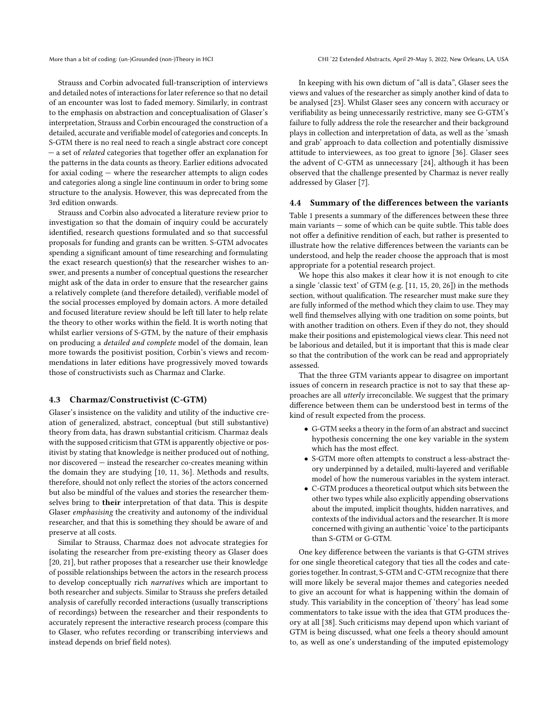Strauss and Corbin advocated full-transcription of interviews and detailed notes of interactions for later reference so that no detail of an encounter was lost to faded memory. Similarly, in contrast to the emphasis on abstraction and conceptualisation of Glaser's interpretation, Strauss and Corbin encouraged the construction of a detailed, accurate and verifiable model of categories and concepts. In S-GTM there is no real need to reach a single abstract core concept - a set of *related* categories that together offer an explanation for the patterns in the data counts as theory. Earlier editions advocated for axial coding — where the researcher attempts to align codes and categories along a single line continuum in order to bring some structure to the analysis. However, this was deprecated from the 3rd edition onwards.

Strauss and Corbin also advocated a literature review prior to investigation so that the domain of inquiry could be accurately identified, research questions formulated and so that successful proposals for funding and grants can be written. S-GTM advocates spending a significant amount of time researching and formulating the exact research question(s) that the researcher wishes to answer, and presents a number of conceptual questions the researcher might ask of the data in order to ensure that the researcher gains a relatively complete (and therefore detailed), verifiable model of the social processes employed by domain actors. A more detailed and focused literature review should be left till later to help relate the theory to other works within the field. It is worth noting that whilst earlier versions of S-GTM, by the nature of their emphasis on producing a detailed and complete model of the domain, lean more towards the positivist position, Corbin's views and recommendations in later editions have progressively moved towards those of constructivists such as Charmaz and Clarke.

### 4.3 Charmaz/Constructivist (C-GTM)

Glaser's insistence on the validity and utility of the inductive creation of generalized, abstract, conceptual (but still substantive) theory from data, has drawn substantial criticism. Charmaz deals with the supposed criticism that GTM is apparently objective or positivist by stating that knowledge is neither produced out of nothing, nor discovered — instead the researcher co-creates meaning within the domain they are studying [\[10,](#page-10-1) [11,](#page-10-2) [36\]](#page-11-7). Methods and results, therefore, should not only reflect the stories of the actors concerned but also be mindful of the values and stories the researcher themselves bring to their interpretation of that data. This is despite Glaser emphasising the creativity and autonomy of the individual researcher, and that this is something they should be aware of and preserve at all costs.

Similar to Strauss, Charmaz does not advocate strategies for isolating the researcher from pre-existing theory as Glaser does [\[20,](#page-11-5) [21\]](#page-11-1), but rather proposes that a researcher use their knowledge of possible relationships between the actors in the research process to develop conceptually rich narratives which are important to both researcher and subjects. Similar to Strauss she prefers detailed analysis of carefully recorded interactions (usually transcriptions of recordings) between the researcher and their respondents to accurately represent the interactive research process (compare this to Glaser, who refutes recording or transcribing interviews and instead depends on brief field notes).

In keeping with his own dictum of "all is data", Glaser sees the views and values of the researcher as simply another kind of data to be analysed [\[23\]](#page-11-9). Whilst Glaser sees any concern with accuracy or verifiability as being unnecessarily restrictive, many see G-GTM's failure to fully address the role the researcher and their background plays in collection and interpretation of data, as well as the 'smash and grab' approach to data collection and potentially dismissive attitude to interviewees, as too great to ignore [\[36\]](#page-11-7). Glaser sees the advent of C-GTM as unnecessary [\[24\]](#page-11-8), although it has been observed that the challenge presented by Charmaz is never really addressed by Glaser [\[7\]](#page-10-6).

### 4.4 Summary of the differences between the variants

Table [1](#page-6-0) presents a summary of the differences between these three main variants — some of which can be quite subtle. This table does not offer a definitive rendition of each, but rather is presented to illustrate how the relative differences between the variants can be understood, and help the reader choose the approach that is most appropriate for a potential research project.

We hope this also makes it clear how it is not enough to cite a single 'classic text' of GTM (e.g. [\[11,](#page-10-2) [15,](#page-10-4) [20,](#page-11-5) [26\]](#page-11-3)) in the methods section, without qualification. The researcher must make sure they are fully informed of the method which they claim to use. They may well find themselves allying with one tradition on some points, but with another tradition on others. Even if they do not, they should make their positions and epistemological views clear. This need not be laborious and detailed, but it is important that this is made clear so that the contribution of the work can be read and appropriately assessed.

That the three GTM variants appear to disagree on important issues of concern in research practice is not to say that these approaches are all utterly irreconcilable. We suggest that the primary difference between them can be understood best in terms of the kind of result expected from the process.

- G-GTM seeks a theory in the form of an abstract and succinct hypothesis concerning the one key variable in the system which has the most effect.
- S-GTM more often attempts to construct a less-abstract theory underpinned by a detailed, multi-layered and verifiable model of how the numerous variables in the system interact.
- C-GTM produces a theoretical output which sits between the other two types while also explicitly appending observations about the imputed, implicit thoughts, hidden narratives, and contexts of the individual actors and the researcher. It is more concerned with giving an authentic 'voice' to the participants than S-GTM or G-GTM.

One key difference between the variants is that G-GTM strives for one single theoretical category that ties all the codes and categories together. In contrast, S-GTM and C-GTM recognize that there will more likely be several major themes and categories needed to give an account for what is happening within the domain of study. This variability in the conception of 'theory' has lead some commentators to take issue with the idea that GTM produces theory at all [\[38\]](#page-11-13). Such criticisms may depend upon which variant of GTM is being discussed, what one feels a theory should amount to, as well as one's understanding of the imputed epistemology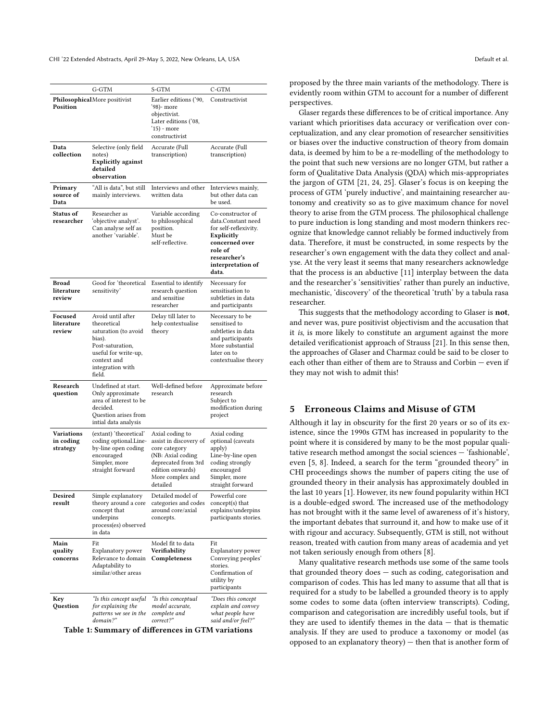<span id="page-6-0"></span>

|                                      | G-GTM                                                                                                                                                       | S-GTM                                                                                                                                                      | C-GTM                                                                                                                                                     |
|--------------------------------------|-------------------------------------------------------------------------------------------------------------------------------------------------------------|------------------------------------------------------------------------------------------------------------------------------------------------------------|-----------------------------------------------------------------------------------------------------------------------------------------------------------|
| Position                             | <b>Philosophical</b> More positivist                                                                                                                        | Earlier editions ('90,<br>'98)- more<br>objectivist.<br>Later editions ('08,<br>'15) - more<br>constructivist                                              | Constructivist                                                                                                                                            |
| Data<br>collection                   | Selective (only field<br>notes)<br><b>Explicitly against</b><br>detailed<br>observation                                                                     | Accurate (Full<br>transcription)                                                                                                                           | Accurate (Full<br>transcription)                                                                                                                          |
| Primary<br>source of<br>Data         | "All is data", but still<br>mainly interviews.                                                                                                              | Interviews and other<br>written data                                                                                                                       | Interviews mainly,<br>but other data can<br>be used.                                                                                                      |
| Status of<br>researcher              | Researcher as<br>'objective analyst'.<br>Can analyse self as<br>another 'variable'.                                                                         | Variable according<br>to philosophical<br>position.<br>Must be<br>self-reflective.                                                                         | Co-constructor of<br>data.Constant need<br>for self-reflexivity.<br>Explicitly<br>concerned over<br>role of<br>researcher's<br>interpretation of<br>data. |
| <b>Broad</b><br>literature<br>review | Good for 'theoretical<br>sensitivity'                                                                                                                       | Essential to identify<br>research question<br>and sensitise<br>researcher                                                                                  | Necessary for<br>sensitisation to<br>subtleties in data<br>and participants                                                                               |
| Focused<br>literature<br>review      | Avoid until after<br>theoretical<br>saturation (to avoid<br>bias).<br>Post-saturation,<br>useful for write-up,<br>context and<br>integration with<br>field. | Delay till later to<br>help contextualise<br>theory                                                                                                        | Necessary to be<br>sensitised to<br>subtleties in data<br>and participants<br>More substantial<br>later on to<br>contextualise theory                     |
| Research<br>question                 | Undefined at start.<br>Only approximate<br>area of interest to be<br>decided.<br>Question arises from<br>intial data analysis                               | Well-defined before<br>research                                                                                                                            | Approximate before<br>research<br>Subject to<br>modification during<br>project                                                                            |
| Variations<br>in coding<br>strategy  | (extant) 'theoretical'<br>coding optional.Line-<br>by-line open coding<br>encouraged<br>Simpler, more<br>straight forward                                   | Axial coding to<br>assist in discovery of<br>core category<br>(NB: Axial coding<br>deprecated from 3rd<br>edition onwards)<br>More complex and<br>detailed | Axial coding<br>optional (caveats<br>apply)<br>Line-by-line open<br>coding strongly<br>encouraged<br>Simpler, more<br>straight forward                    |
| Desired<br>result                    | Simple explanatory<br>theory around a core<br>concept that<br>underpins<br>process(es) observed<br>in data                                                  | Detailed model of<br>categories and codes<br>around core/axial<br>concepts.                                                                                | Powerful core<br>concept(s) that<br>explains/underpins<br>participants stories.                                                                           |
| Main<br>quality<br>concerns          | Fit<br>Explanatory power<br>Relevance to domain<br>Adaptability to<br>similar/other areas                                                                   | Model fit to data<br>Verifiability<br>Completeness                                                                                                         | Fit<br>Explanatory power<br>Conveying peoples'<br>stories.<br>Confirmation of<br>utility by<br>participants                                               |
| Key<br>Question                      | "Is this concept useful<br>for explaining the<br>patterns we see in the<br>domain?"                                                                         | "Is this conceptual<br>model accurate,<br>complete and<br>correct?"                                                                                        | "Does this concept<br>explain and convey<br>what people have<br>said and/or feel?"                                                                        |

Table 1: Summary of differences in GTM variations

proposed by the three main variants of the methodology. There is evidently room within GTM to account for a number of different perspectives.

Glaser regards these differences to be of critical importance. Any variant which prioritises data accuracy or verification over conceptualization, and any clear promotion of researcher sensitivities or biases over the inductive construction of theory from domain data, is deemed by him to be a re-modelling of the methodology to the point that such new versions are no longer GTM, but rather a form of Qualitative Data Analysis (QDA) which mis-appropriates the jargon of GTM [\[21,](#page-11-1) [24,](#page-11-8) [25\]](#page-11-14). Glaser's focus is on keeping the process of GTM 'purely inductive', and maintaining researcher autonomy and creativity so as to give maximum chance for novel theory to arise from the GTM process. The philosophical challenge to pure induction is long standing and most modern thinkers recognize that knowledge cannot reliably be formed inductively from data. Therefore, it must be constructed, in some respects by the researcher's own engagement with the data they collect and analyse. At the very least it seems that many researchers acknowledge that the process is an abductive [\[11\]](#page-10-2) interplay between the data and the researcher's 'sensitivities' rather than purely an inductive, mechanistic, 'discovery' of the theoretical 'truth' by a tabula rasa researcher.

This suggests that the methodology according to Glaser is **not**, and never was, pure positivist objectivism and the accusation that it is, is more likely to constitute an argument against the more detailed verificationist approach of Strauss [\[21\]](#page-11-1). In this sense then, the approaches of Glaser and Charmaz could be said to be closer to each other than either of them are to Strauss and Corbin — even if they may not wish to admit this!

### 5 Erroneous Claims and Misuse of GTM

Although it lay in obscurity for the first 20 years or so of its existence, since the 1990s GTM has increased in popularity to the point where it is considered by many to be the most popular qualitative research method amongst the social sciences — 'fashionable', even [\[5,](#page-10-7) [8\]](#page-10-0). Indeed, a search for the term "grounded theory" in CHI proceedings shows the number of papers citing the use of grounded theory in their analysis has approximately doubled in the last 10 years [\[1\]](#page-10-8). However, its new found popularity within HCI is a double-edged sword. The increased use of the methodology has not brought with it the same level of awareness of it's history, the important debates that surround it, and how to make use of it with rigour and accuracy. Subsequently, GTM is still, not without reason, treated with caution from many areas of academia and yet not taken seriously enough from others [\[8\]](#page-10-0).

Many qualitative research methods use some of the same tools that grounded theory does — such as coding, categorisation and comparison of codes. This has led many to assume that all that is required for a study to be labelled a grounded theory is to apply some codes to some data (often interview transcripts). Coding, comparison and categorisation are incredibly useful tools, but if they are used to identify themes in the data  $-$  that is thematic analysis. If they are used to produce a taxonomy or model (as opposed to an explanatory theory) — then that is another form of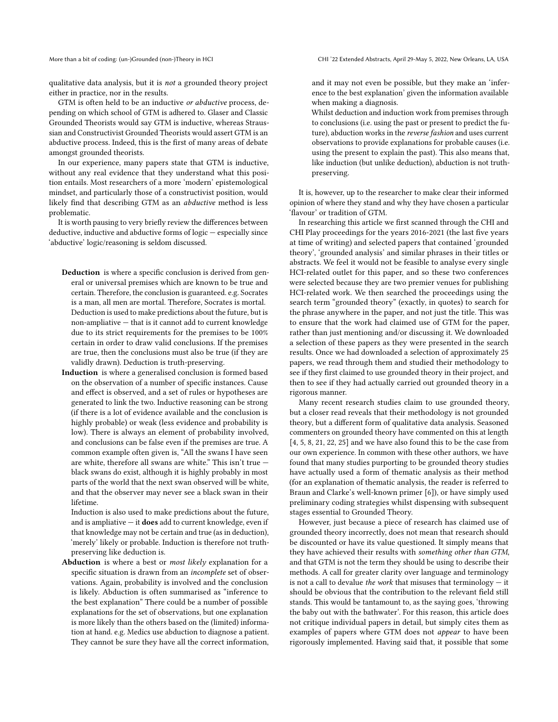qualitative data analysis, but it is not a grounded theory project either in practice, nor in the results.

GTM is often held to be an inductive or abductive process, depending on which school of GTM is adhered to. Glaser and Classic Grounded Theorists would say GTM is inductive, whereas Straussian and Constructivist Grounded Theorists would assert GTM is an abductive process. Indeed, this is the first of many areas of debate amongst grounded theorists.

In our experience, many papers state that GTM is inductive, without any real evidence that they understand what this position entails. Most researchers of a more 'modern' epistemological mindset, and particularly those of a constructivist position, would likely find that describing GTM as an abductive method is less problematic.

It is worth pausing to very briefly review the differences between deductive, inductive and abductive forms of logic — especially since 'abductive' logic/reasoning is seldom discussed.

- Deduction is where a specific conclusion is derived from general or universal premises which are known to be true and certain. Therefore, the conclusion is guaranteed. e.g. Socrates is a man, all men are mortal. Therefore, Socrates is mortal. Deduction is used to make predictions about the future, but is non-ampliative — that is it cannot add to current knowledge due to its strict requirements for the premises to be 100% certain in order to draw valid conclusions. If the premises are true, then the conclusions must also be true (if they are validly drawn). Deduction is truth-preserving.
- Induction is where a generalised conclusion is formed based on the observation of a number of specific instances. Cause and effect is observed, and a set of rules or hypotheses are generated to link the two. Inductive reasoning can be strong (if there is a lot of evidence available and the conclusion is highly probable) or weak (less evidence and probability is low). There is always an element of probability involved, and conclusions can be false even if the premises are true. A common example often given is, "All the swans I have seen are white, therefore all swans are white." This isn't true black swans do exist, although it is highly probably in most parts of the world that the next swan observed will be white, and that the observer may never see a black swan in their lifetime.

Induction is also used to make predictions about the future, and is ampliative  $-$  it **does** add to current knowledge, even if that knowledge may not be certain and true (as in deduction), 'merely' likely or probable. Induction is therefore not truthpreserving like deduction is.

Abduction is where a best or most likely explanation for a specific situation is drawn from an incomplete set of observations. Again, probability is involved and the conclusion is likely. Abduction is often summarised as "inference to the best explanation" There could be a number of possible explanations for the set of observations, but one explanation is more likely than the others based on the (limited) information at hand. e.g. Medics use abduction to diagnose a patient. They cannot be sure they have all the correct information,

More than a bit of coding: (un-)Grounded (non-)Theory in HCI CHI '22 Extended Abstracts, April 29-May 5, 2022, New Orleans, LA, USA

and it may not even be possible, but they make an 'inference to the best explanation' given the information available when making a diagnosis.

Whilst deduction and induction work from premises through to conclusions (i.e. using the past or present to predict the future), abduction works in the reverse fashion and uses current observations to provide explanations for probable causes (i.e. using the present to explain the past). This also means that, like induction (but unlike deduction), abduction is not truthpreserving.

It is, however, up to the researcher to make clear their informed opinion of where they stand and why they have chosen a particular 'flavour' or tradition of GTM.

In researching this article we first scanned through the CHI and CHI Play proceedings for the years 2016-2021 (the last five years at time of writing) and selected papers that contained 'grounded theory', 'grounded analysis' and similar phrases in their titles or abstracts. We feel it would not be feasible to analyse every single HCI-related outlet for this paper, and so these two conferences were selected because they are two premier venues for publishing HCI-related work. We then searched the proceedings using the search term "grounded theory" (exactly, in quotes) to search for the phrase anywhere in the paper, and not just the title. This was to ensure that the work had claimed use of GTM for the paper, rather than just mentioning and/or discussing it. We downloaded a selection of these papers as they were presented in the search results. Once we had downloaded a selection of approximately 25 papers, we read through them and studied their methodology to see if they first claimed to use grounded theory in their project, and then to see if they had actually carried out grounded theory in a rigorous manner.

Many recent research studies claim to use grounded theory, but a closer read reveals that their methodology is not grounded theory, but a different form of qualitative data analysis. Seasoned commenters on grounded theory have commented on this at length [\[4,](#page-10-9) [5,](#page-10-7) [8,](#page-10-0) [21,](#page-11-1) [22,](#page-11-11) [25\]](#page-11-14) and we have also found this to be the case from our own experience. In common with these other authors, we have found that many studies purporting to be grounded theory studies have actually used a form of thematic analysis as their method (for an explanation of thematic analysis, the reader is referred to Braun and Clarke's well-known primer [\[6\]](#page-10-10)), or have simply used preliminary coding strategies whilst dispensing with subsequent stages essential to Grounded Theory.

However, just because a piece of research has claimed use of grounded theory incorrectly, does not mean that research should be discounted or have its value questioned. It simply means that they have achieved their results with something other than GTM, and that GTM is not the term they should be using to describe their methods. A call for greater clarity over language and terminology is not a call to devalue the work that misuses that terminology  $-$  it should be obvious that the contribution to the relevant field still stands. This would be tantamount to, as the saying goes, 'throwing the baby out with the bathwater'. For this reason, this article does not critique individual papers in detail, but simply cites them as examples of papers where GTM does not appear to have been rigorously implemented. Having said that, it possible that some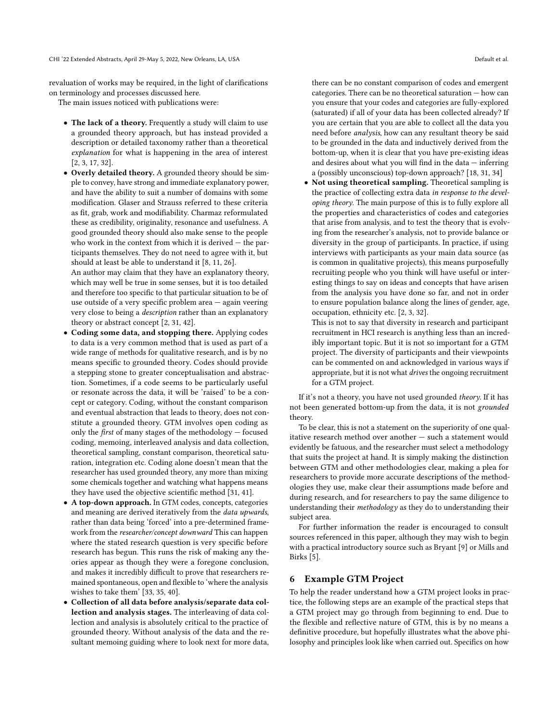revaluation of works may be required, in the light of clarifications on terminology and processes discussed here.

The main issues noticed with publications were:

- The lack of a theory. Frequently a study will claim to use a grounded theory approach, but has instead provided a description or detailed taxonomy rather than a theoretical explanation for what is happening in the area of interest [\[2,](#page-10-11) [3,](#page-10-12) [17,](#page-10-13) [32\]](#page-11-15).
- Overly detailed theory. A grounded theory should be simple to convey, have strong and immediate explanatory power, and have the ability to suit a number of domains with some modification. Glaser and Strauss referred to these criteria as fit, grab, work and modifiability. Charmaz reformulated these as credibility, originality, resonance and usefulness. A good grounded theory should also make sense to the people who work in the context from which it is derived  $-$  the participants themselves. They do not need to agree with it, but should at least be able to understand it [\[8,](#page-10-0) [11,](#page-10-2) [26\]](#page-11-3).

An author may claim that they have an explanatory theory, which may well be true in some senses, but it is too detailed and therefore too specific to that particular situation to be of use outside of a very specific problem area — again veering very close to being a description rather than an explanatory theory or abstract concept [\[2,](#page-10-11) [31,](#page-11-16) [42\]](#page-11-17).

- Coding some data, and stopping there. Applying codes to data is a very common method that is used as part of a wide range of methods for qualitative research, and is by no means specific to grounded theory. Codes should provide a stepping stone to greater conceptualisation and abstraction. Sometimes, if a code seems to be particularly useful or resonate across the data, it will be 'raised' to be a concept or category. Coding, without the constant comparison and eventual abstraction that leads to theory, does not constitute a grounded theory. GTM involves open coding as only the first of many stages of the methodology — focused coding, memoing, interleaved analysis and data collection, theoretical sampling, constant comparison, theoretical saturation, integration etc. Coding alone doesn't mean that the researcher has used grounded theory, any more than mixing some chemicals together and watching what happens means they have used the objective scientific method [\[31,](#page-11-16) [41\]](#page-11-18).
- A top-down approach. In GTM codes, concepts, categories and meaning are derived iteratively from the data upwards, rather than data being 'forced' into a pre-determined framework from the researcher/concept downward This can happen where the stated research question is very specific before research has begun. This runs the risk of making any theories appear as though they were a foregone conclusion, and makes it incredibly difficult to prove that researchers remained spontaneous, open and flexible to 'where the analysis wishes to take them' [\[33,](#page-11-19) [35,](#page-11-20) [40\]](#page-11-21).
- Collection of all data before analysis/separate data collection and analysis stages. The interleaving of data collection and analysis is absolutely critical to the practice of grounded theory. Without analysis of the data and the resultant memoing guiding where to look next for more data,

there can be no constant comparison of codes and emergent categories. There can be no theoretical saturation — how can you ensure that your codes and categories are fully-explored (saturated) if all of your data has been collected already? If you are certain that you are able to collect all the data you need before analysis, how can any resultant theory be said to be grounded in the data and inductively derived from the bottom-up, when it is clear that you have pre-existing ideas and desires about what you will find in the data — inferring a (possibly unconscious) top-down approach? [\[18,](#page-10-14) [31,](#page-11-16) [34\]](#page-11-22)

• Not using theoretical sampling. Theoretical sampling is the practice of collecting extra data in response to the developing theory. The main purpose of this is to fully explore all the properties and characteristics of codes and categories that arise from analysis, and to test the theory that is evolving from the researcher's analysis, not to provide balance or diversity in the group of participants. In practice, if using interviews with participants as your main data source (as is common in qualitative projects), this means purposefully recruiting people who you think will have useful or interesting things to say on ideas and concepts that have arisen from the analysis you have done so far, and not in order to ensure population balance along the lines of gender, age, occupation, ethnicity etc. [\[2,](#page-10-11) [3,](#page-10-12) [32\]](#page-11-15).

This is not to say that diversity in research and participant recruitment in HCI research is anything less than an incredibly important topic. But it is not so important for a GTM project. The diversity of participants and their viewpoints can be commented on and acknowledged in various ways if appropriate, but it is not what drives the ongoing recruitment for a GTM project.

If it's not a theory, you have not used grounded theory. If it has not been generated bottom-up from the data, it is not grounded theory.

To be clear, this is not a statement on the superiority of one qualitative research method over another — such a statement would evidently be fatuous, and the researcher must select a methodology that suits the project at hand. It is simply making the distinction between GTM and other methodologies clear, making a plea for researchers to provide more accurate descriptions of the methodologies they use, make clear their assumptions made before and during research, and for researchers to pay the same diligence to understanding their methodology as they do to understanding their subject area.

For further information the reader is encouraged to consult sources referenced in this paper, although they may wish to begin with a practical introductory source such as Bryant [\[9\]](#page-10-15) or Mills and Birks [\[5\]](#page-10-7).

### 6 Example GTM Project

To help the reader understand how a GTM project looks in practice, the following steps are an example of the practical steps that a GTM project may go through from beginning to end. Due to the flexible and reflective nature of GTM, this is by no means a definitive procedure, but hopefully illustrates what the above philosophy and principles look like when carried out. Specifics on how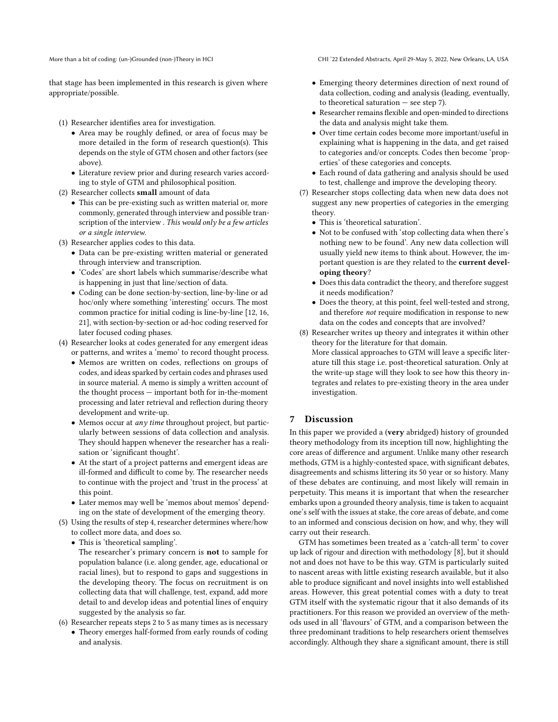that stage has been implemented in this research is given where appropriate/possible.

(1) Researcher identifies area for investigation.

- Area may be roughly defined, or area of focus may be more detailed in the form of research question(s). This depends on the style of GTM chosen and other factors (see above).
- Literature review prior and during research varies according to style of GTM and philosophical position.
- <span id="page-9-1"></span>(2) Researcher collects small amount of data
	- This can be pre-existing such as written material or, more commonly, generated through interview and possible transcription of the interview . This would only be a few articles or a single interview.
- (3) Researcher applies codes to this data.
	- Data can be pre-existing written material or generated through interview and transcription.
	- 'Codes' are short labels which summarise/describe what is happening in just that line/section of data.
	- Coding can be done section-by-section, line-by-line or ad hoc/only where something 'interesting' occurs. The most common practice for initial coding is line-by-line [\[12,](#page-10-16) [16,](#page-10-17) [21\]](#page-11-1), with section-by-section or ad-hoc coding reserved for later focused coding phases.
- <span id="page-9-0"></span>(4) Researcher looks at codes generated for any emergent ideas or patterns, and writes a 'memo' to record thought process.
	- Memos are written on codes, reflections on groups of codes, and ideas sparked by certain codes and phrases used in source material. A memo is simply a written account of the thought process — important both for in-the-moment processing and later retrieval and reflection during theory development and write-up.
	- Memos occur at any time throughout project, but particularly between sessions of data collection and analysis. They should happen whenever the researcher has a realisation or 'significant thought'.
	- At the start of a project patterns and emergent ideas are ill-formed and difficult to come by. The researcher needs to continue with the project and 'trust in the process' at this point.
	- Later memos may well be 'memos about memos' depending on the state of development of the emerging theory.
- <span id="page-9-2"></span>(5) Using the results of step [4,](#page-9-0) researcher determines where/how to collect more data, and does so.
	- This is 'theoretical sampling'.
		- The researcher's primary concern is **not** to sample for population balance (i.e. along gender, age, educational or racial lines), but to respond to gaps and suggestions in the developing theory. The focus on recruitment is on collecting data that will challenge, test, expand, add more detail to and develop ideas and potential lines of enquiry suggested by the analysis so far.
- (6) Researcher repeats steps [2](#page-9-1) to [5](#page-9-2) as many times as is necessary
	- Theory emerges half-formed from early rounds of coding and analysis.

More than a bit of coding: (un-)Grounded (non-)Theory in HCI CHI '22 Extended Abstracts, April 29-May 5, 2022, New Orleans, LA, USA

- Emerging theory determines direction of next round of data collection, coding and analysis (leading, eventually, to theoretical saturation  $-$  see step [7\)](#page-9-3).
- Researcher remains flexible and open-minded to directions the data and analysis might take them.
- Over time certain codes become more important/useful in explaining what is happening in the data, and get raised to categories and/or concepts. Codes then become 'properties' of these categories and concepts.
- Each round of data gathering and analysis should be used to test, challenge and improve the developing theory.
- <span id="page-9-3"></span>(7) Researcher stops collecting data when new data does not suggest any new properties of categories in the emerging theory.
	- This is 'theoretical saturation'.
	- Not to be confused with 'stop collecting data when there's nothing new to be found'. Any new data collection will usually yield new items to think about. However, the important question is are they related to the current developing theory?
	- Does this data contradict the theory, and therefore suggest it needs modification?
	- Does the theory, at this point, feel well-tested and strong, and therefore not require modification in response to new data on the codes and concepts that are involved?
- (8) Researcher writes up theory and integrates it within other theory for the literature for that domain.

More classical approaches to GTM will leave a specific literature till this stage i.e. post-theoretical saturation. Only at the write-up stage will they look to see how this theory integrates and relates to pre-existing theory in the area under investigation.

### 7 Discussion

In this paper we provided a (very abridged) history of grounded theory methodology from its inception till now, highlighting the core areas of difference and argument. Unlike many other research methods, GTM is a highly-contested space, with significant debates, disagreements and schisms littering its 50 year or so history. Many of these debates are continuing, and most likely will remain in perpetuity. This means it is important that when the researcher embarks upon a grounded theory analysis, time is taken to acquaint one's self with the issues at stake, the core areas of debate, and come to an informed and conscious decision on how, and why, they will carry out their research.

GTM has sometimes been treated as a 'catch-all term' to cover up lack of rigour and direction with methodology [\[8\]](#page-10-0), but it should not and does not have to be this way. GTM is particularly suited to nascent areas with little existing research available, but it also able to produce significant and novel insights into well established areas. However, this great potential comes with a duty to treat GTM itself with the systematic rigour that it also demands of its practitioners. For this reason we provided an overview of the methods used in all 'flavours' of GTM, and a comparison between the three predominant traditions to help researchers orient themselves accordingly. Although they share a significant amount, there is still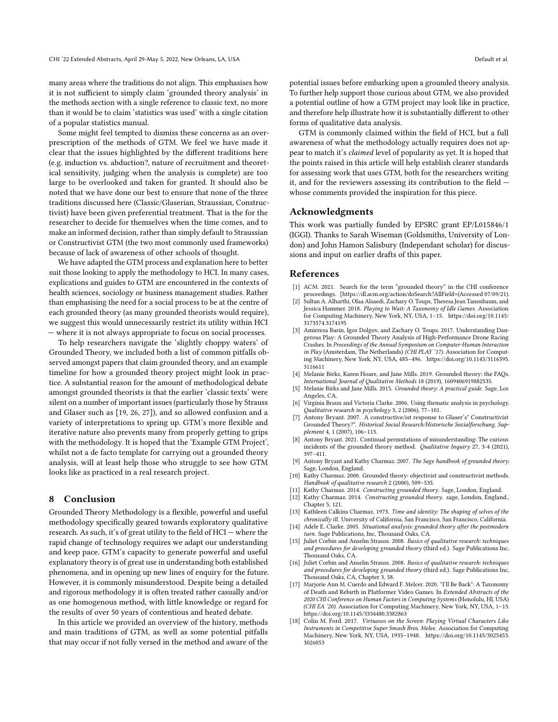many areas where the traditions do not align. This emphasises how it is not sufficient to simply claim 'grounded theory analysis' in the methods section with a single reference to classic text, no more than it would be to claim 'statistics was used' with a single citation of a popular statistics manual.

Some might feel tempted to dismiss these concerns as an overprescription of the methods of GTM. We feel we have made it clear that the issues highlighted by the different traditions here (e.g. induction vs. abduction?, nature of recruitment and theoretical sensitivity, judging when the analysis is complete) are too large to be overlooked and taken for granted. It should also be noted that we have done our best to ensure that none of the three traditions discussed here (Classic/Glaserian, Straussian, Constructivist) have been given preferential treatment. That is the for the researcher to decide for themselves when the time comes, and to make an informed decision, rather than simply default to Straussian or Constructivist GTM (the two most commonly used frameworks) because of lack of awareness of other schools of thought.

We have adapted the GTM process and explanation here to better suit those looking to apply the methodology to HCI. In many cases, explications and guides to GTM are encountered in the contexts of health sciences, sociology or business management studies. Rather than emphasising the need for a social process to be at the centre of each grounded theory (as many grounded theorists would require), we suggest this would unnecessarily restrict its utility within HCI — where it is not always appropriate to focus on social processes.

To help researchers navigate the 'slightly choppy waters' of Grounded Theory, we included both a list of common pitfalls observed amongst papers that claim grounded theory, and an example timeline for how a grounded theory project might look in practice. A substantial reason for the amount of methodological debate amongst grounded theorists is that the earlier 'classic texts' were silent on a number of important issues (particularly those by Strauss and Glaser such as [\[19,](#page-11-23) [26,](#page-11-3) [27\]](#page-11-24)), and so allowed confusion and a variety of interpretations to spring up. GTM's more flexible and iterative nature also prevents many from properly getting to grips with the methodology. It is hoped that the 'Example GTM Project', whilst not a de facto template for carrying out a grounded theory analysis, will at least help those who struggle to see how GTM looks like as practiced in a real research project.

### 8 Conclusion

Grounded Theory Methodology is a flexible, powerful and useful methodology specifically geared towards exploratory qualitative research. As such, it's of great utility to the field of HCI — where the rapid change of technology requires we adapt our understanding and keep pace. GTM's capacity to generate powerful and useful explanatory theory is of great use in understanding both established phenomena, and in opening up new lines of enquiry for the future. However, it is commonly misunderstood. Despite being a detailed and rigorous methodology it is often treated rather casually and/or as one homogenous method, with little knowledge or regard for the results of over 50 years of contentious and heated debate.

In this article we provided an overview of the history, methods and main traditions of GTM, as well as some potential pitfalls that may occur if not fully versed in the method and aware of the potential issues before embarking upon a grounded theory analysis. To further help support those curious about GTM, we also provided a potential outline of how a GTM project may look like in practice, and therefore help illustrate how it is substantially different to other forms of qualitative data analysis.

GTM is commonly claimed within the field of HCI, but a full awareness of what the methodology actually requires does not appear to match it's claimed level of popularity as yet. It is hoped that the points raised in this article will help establish clearer standards for assessing work that uses GTM, both for the researchers writing it, and for the reviewers assessing its contribution to the field whose comments provided the inspiration for this piece.

### Acknowledgments

This work was partially funded by EPSRC grant EP/L015846/1 (IGGI). Thanks to Sarah Wiseman (Goldsmiths, University of London) and John Hamon Salisbury (Independant scholar) for discussions and input on earlier drafts of this paper.

### References

- <span id="page-10-8"></span>[1] ACM. 2021. Search for the term "grounded theory" in the CHI conference proceedings. [https://dl.acm.org/action/doSearch?AllField=(Accessed 07/09/21).
- <span id="page-10-11"></span>[2] Sultan A. Alharthi, Olaa Alsaedi, Zachary O. Toups, Theresa Jean Tanenbaum, and Jessica Hammer. 2018. Playing to Wait: A Taxonomy of Idle Games. Association for Computing Machinery, New York, NY, USA, 1–15. [https://doi.org/10.1145/](https://doi.org/10.1145/3173574.3174195) [3173574.3174195](https://doi.org/10.1145/3173574.3174195)
- <span id="page-10-12"></span>[3] Amirreza Barin, Igor Dolgov, and Zachary O. Toups. 2017. Understanding Dangerous Play: A Grounded Theory Analysis of High-Performance Drone Racing Crashes. In Proceedings of the Annual Symposium on Computer-Human Interaction in Play (Amsterdam, The Netherlands) (CHI PLAY '17). Association for Computing Machinery, New York, NY, USA, 485–496. [https://doi.org/10.1145/3116595.](https://doi.org/10.1145/3116595.3116611) [3116611](https://doi.org/10.1145/3116595.3116611)
- <span id="page-10-9"></span>[4] Melanie Birks, Karen Hoare, and Jane Mills. 2019. Grounded theory: the FAQs. International Journal of Qualitative Methods 18 (2019), 1609406919882535.
- <span id="page-10-7"></span>[5] Melanie Birks and Jane Mills. 2015. Grounded theory: A practical guide. Sage, Los Angeles, CA.
- <span id="page-10-10"></span>[6] Virginia Braun and Victoria Clarke. 2006. Using thematic analysis in psychology. Qualitative research in psychology 3, 2 (2006), 77–101.
- <span id="page-10-6"></span>Antony Bryant. 2007. A constructive/ist response to Glaser's" Constructivist Grounded Theory?". Historical Social Research/Historische Sozialforschung. Supplement 4, 1 (2007), 106–113.
- <span id="page-10-0"></span>[8] Antony Bryant. 2021. Continual permutations of misunderstanding: The curious incidents of the grounded theory method. Qualitative Inquiry 27, 3-4 (2021), 397–411.
- <span id="page-10-15"></span>[9] Antony Bryant and Kathy Charmaz. 2007. The Sage handbook of grounded theory. Sage, London, England.
- <span id="page-10-1"></span>[10] Kathy Charmaz. 2000. Grounded theory: objectivist and constructivist methods. Handbook of qualitative research 2 (2000), 509–535.
- <span id="page-10-2"></span>[11] Kathy Charmaz. 2014. Constructing grounded theory. Sage, London, England.
- <span id="page-10-16"></span>[12] Kathy Charmaz. 2014. Constructing grounded theory. sage, London, England., Chapter 5, 121.
- <span id="page-10-5"></span>[13] Kathleen Calkins Charmaz. 1973. Time and identity: The shaping of selves of the chronically ill. University of California, San Francisco, San Francisco, California.
- <span id="page-10-3"></span>[14] Adele E. Clarke. 2005. Situational analysis: grounded theory after the postmodern turn. Sage Publications, Inc, Thousand Oaks, CA.
- <span id="page-10-4"></span>[15] Juliet Corbin and Anselm Strauss. 2008. Basics of qualitative research: techniques and procedures for developing grounded theory (third ed.). Sage Publications Inc, Thousand Oaks, CA.
- <span id="page-10-17"></span>[16] Juliet Corbin and Anselm Strauss. 2008. Basics of qualitative research: techniques and procedures for developing grounded theory (third ed.). Sage Publications Inc, Thousand Oaks, CA, Chapter 3, 58.
- <span id="page-10-13"></span>[17] Marjorie Ann M. Cuerdo and Edward F. Melcer. 2020. "I'll Be Back": A Taxonomy of Death and Rebirth in Platformer Video Games. In Extended Abstracts of the 2020 CHI Conference on Human Factors in Computing Systems (Honolulu, HI, USA) (CHI EA '20). Association for Computing Machinery, New York, NY, USA, 1–13. <https://doi.org/10.1145/3334480.3382863>
- <span id="page-10-14"></span>[18] Colin M. Ford. 2017. Virtuosos on the Screen: Playing Virtual Characters Like Instruments in Competitive Super Smash Bros. Melee. Association for Computing Machinery, New York, NY, USA, 1935–1948. [https://doi.org/10.1145/3025453.](https://doi.org/10.1145/3025453.3026053) [3026053](https://doi.org/10.1145/3025453.3026053)